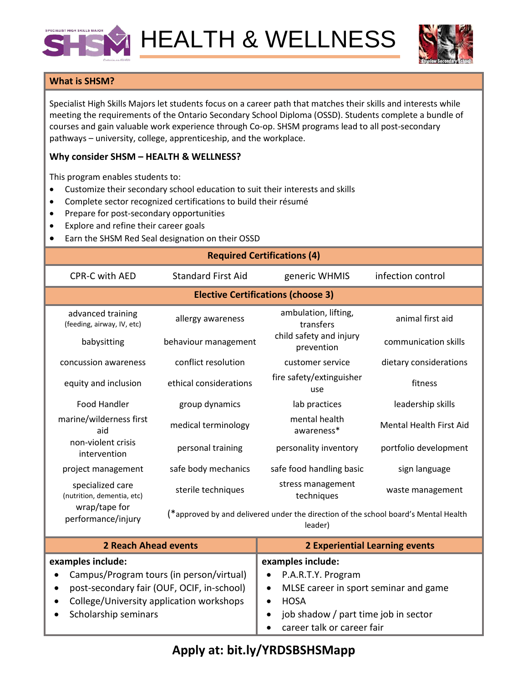

HEALTH & WELLNESS



## **What is SHSM?**

Specialist High Skills Majors let students focus on a career path that matches their skills and interests while meeting the requirements of the Ontario Secondary School Diploma (OSSD). Students complete a bundle of courses and gain valuable work experience through Co-op. SHSM programs lead to all post-secondary pathways – university, college, apprenticeship, and the workplace.

## **Why consider SHSM – HEALTH & WELLNESS?**

This program enables students to:

- Customize their secondary school education to suit their interests and skills
- Complete sector recognized certifications to build their résumé
- Prepare for post-secondary opportunities
- Explore and refine their career goals
- Earn the SHSM Red Seal designation on their OSSD

| Larn the Show hed Sear designation on their OSSD                                      |                                                                                                |                                       |                                |  |  |
|---------------------------------------------------------------------------------------|------------------------------------------------------------------------------------------------|---------------------------------------|--------------------------------|--|--|
| <b>Required Certifications (4)</b>                                                    |                                                                                                |                                       |                                |  |  |
| <b>CPR-C with AED</b>                                                                 | <b>Standard First Aid</b>                                                                      | generic WHMIS                         | infection control              |  |  |
| <b>Elective Certifications (choose 3)</b>                                             |                                                                                                |                                       |                                |  |  |
| advanced training<br>(feeding, airway, IV, etc)                                       | allergy awareness                                                                              | ambulation, lifting,<br>transfers     | animal first aid               |  |  |
| babysitting                                                                           | behaviour management                                                                           | child safety and injury<br>prevention | communication skills           |  |  |
| concussion awareness                                                                  | conflict resolution                                                                            | customer service                      | dietary considerations         |  |  |
| equity and inclusion                                                                  | ethical considerations                                                                         | fire safety/extinguisher<br>use       | fitness                        |  |  |
| <b>Food Handler</b>                                                                   | group dynamics                                                                                 | lab practices                         | leadership skills              |  |  |
| marine/wilderness first<br>aid                                                        | medical terminology                                                                            | mental health<br>awareness*           | <b>Mental Health First Aid</b> |  |  |
| non-violent crisis<br>intervention                                                    | personal training                                                                              | personality inventory                 | portfolio development          |  |  |
| project management                                                                    | safe body mechanics                                                                            | safe food handling basic              | sign language                  |  |  |
| specialized care<br>(nutrition, dementia, etc)<br>wrap/tape for<br>performance/injury | sterile techniques                                                                             | stress management<br>techniques       | waste management               |  |  |
|                                                                                       | (*approved by and delivered under the direction of the school board's Mental Health<br>leader) |                                       |                                |  |  |

| <b>2 Reach Ahead events</b>                             | <b>2 Experiential Learning events</b>              |  |  |
|---------------------------------------------------------|----------------------------------------------------|--|--|
| examples include:                                       | examples include:                                  |  |  |
| Campus/Program tours (in person/virtual)<br>$\bullet$   | • P.A.R.T.Y. Program                               |  |  |
| post-secondary fair (OUF, OCIF, in-school)<br>$\bullet$ | MLSE career in sport seminar and game<br>$\bullet$ |  |  |
| College/University application workshops<br>$\bullet$   | <b>HOSA</b>                                        |  |  |
| Scholarship seminars                                    | job shadow / part time job in sector               |  |  |
|                                                         | career talk or career fair                         |  |  |

## **Apply at: bit.ly/YRDSBSHSMapp**